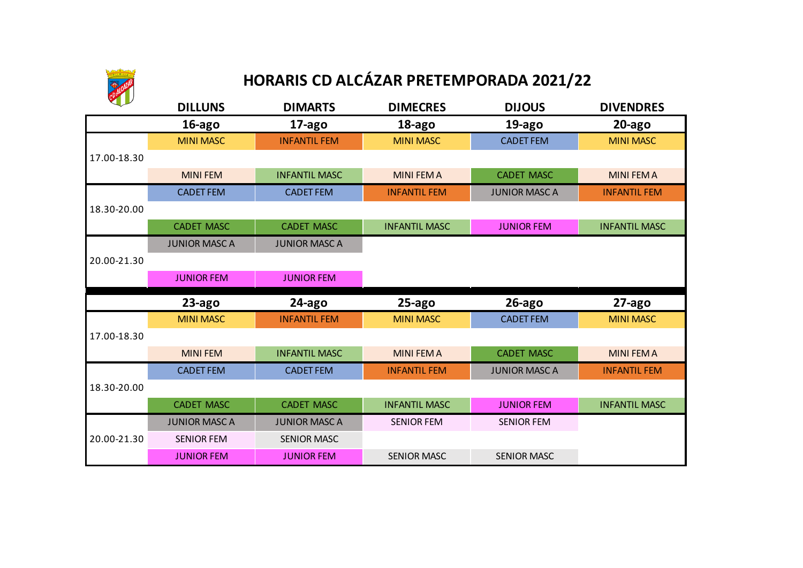

## **HORARIS CD ALCÁZAR PRETEMPORADA 2021/22**

|             | <b>DILLUNS</b>       | <b>DIMARTS</b>       | <b>DIMECRES</b>      | <b>DIJOUS</b>        | <b>DIVENDRES</b>     |
|-------------|----------------------|----------------------|----------------------|----------------------|----------------------|
|             | 16-ago               | 17-ago               | 18-ago               | 19-ago               | $20$ -ago            |
|             | <b>MINI MASC</b>     | <b>INFANTIL FEM</b>  | <b>MINI MASC</b>     | <b>CADET FEM</b>     | <b>MINI MASC</b>     |
| 17.00-18.30 |                      |                      |                      |                      |                      |
|             | <b>MINI FEM</b>      | <b>INFANTIL MASC</b> | <b>MINI FEM A</b>    | <b>CADET MASC</b>    | <b>MINI FEM A</b>    |
|             | <b>CADET FEM</b>     | <b>CADET FEM</b>     | <b>INFANTIL FEM</b>  | <b>JUNIOR MASC A</b> | <b>INFANTIL FEM</b>  |
| 18.30-20.00 |                      |                      |                      |                      |                      |
|             | <b>CADET MASC</b>    | <b>CADET MASC</b>    | <b>INFANTIL MASC</b> | <b>JUNIOR FEM</b>    | <b>INFANTIL MASC</b> |
|             | <b>JUNIOR MASC A</b> | <b>JUNIOR MASCA</b>  |                      |                      |                      |
| 20.00-21.30 |                      |                      |                      |                      |                      |
|             | <b>JUNIOR FEM</b>    | <b>JUNIOR FEM</b>    |                      |                      |                      |
|             |                      |                      |                      |                      |                      |
|             | $23$ -ago            | 24-ago               | $25$ -ago            | $26$ -ago            | $27$ -ago            |
|             | <b>MINI MASC</b>     | <b>INFANTIL FEM</b>  | <b>MINI MASC</b>     | <b>CADET FEM</b>     | <b>MINI MASC</b>     |
| 17.00-18.30 |                      |                      |                      |                      |                      |
|             | <b>MINI FEM</b>      | <b>INFANTIL MASC</b> | <b>MINI FEM A</b>    | <b>CADET MASC</b>    | <b>MINI FEM A</b>    |
|             | <b>CADET FEM</b>     | <b>CADET FEM</b>     | <b>INFANTIL FEM</b>  | <b>JUNIOR MASC A</b> | <b>INFANTIL FEM</b>  |
| 18.30-20.00 |                      |                      |                      |                      |                      |
|             | <b>CADET MASC</b>    | <b>CADET MASC</b>    | <b>INFANTIL MASC</b> | <b>JUNIOR FEM</b>    | <b>INFANTIL MASC</b> |
|             | <b>JUNIOR MASC A</b> | <b>JUNIOR MASC A</b> | <b>SENIOR FEM</b>    | <b>SENIOR FEM</b>    |                      |
| 20.00-21.30 | <b>SENIOR FEM</b>    | <b>SENIOR MASC</b>   |                      |                      |                      |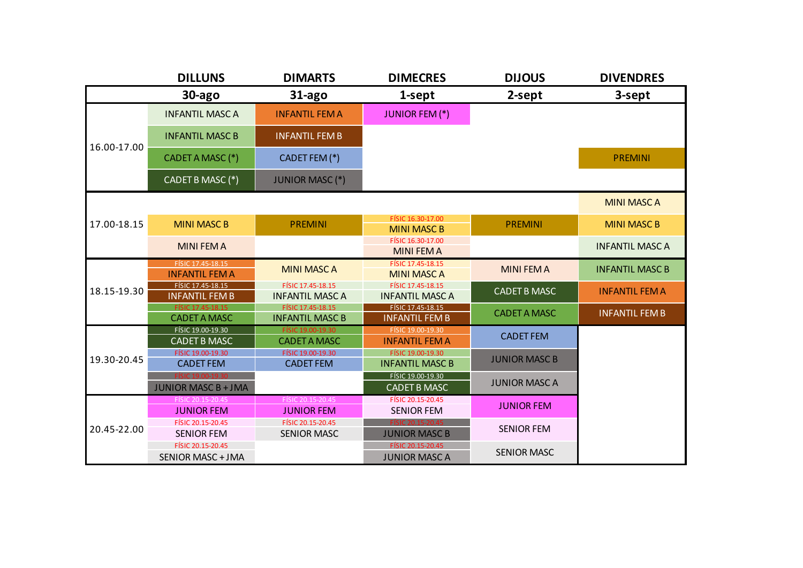|             | <b>DILLUNS</b>                                  | <b>DIMARTS</b>                              | <b>DIMECRES</b>                                  | <b>DIJOUS</b>        | <b>DIVENDRES</b>       |
|-------------|-------------------------------------------------|---------------------------------------------|--------------------------------------------------|----------------------|------------------------|
|             | $30$ -ago                                       | $31$ -ago                                   | 1-sept                                           | 2-sept               | 3-sept                 |
|             | <b>INFANTIL MASC A</b>                          | <b>INFANTIL FEM A</b>                       | <b>JUNIOR FEM (*)</b>                            |                      |                        |
| 16.00-17.00 | <b>INFANTIL MASC B</b>                          | <b>INFANTIL FEM B</b>                       |                                                  |                      |                        |
|             | CADET A MASC (*)                                | CADET FEM (*)                               |                                                  |                      | <b>PREMINI</b>         |
|             | CADET B MASC (*)                                | <b>JUNIOR MASC (*)</b>                      |                                                  |                      |                        |
|             |                                                 |                                             |                                                  |                      | <b>MINI MASC A</b>     |
| 17.00-18.15 | <b>MINI MASC B</b>                              | <b>PREMINI</b>                              | FÍSIC 16.30-17.00<br><b>MINI MASC B</b>          | <b>PREMINI</b>       | <b>MINI MASC B</b>     |
|             | <b>MINI FEM A</b>                               |                                             | FÍSIC 16.30-17.00<br><b>MINI FEM A</b>           |                      | <b>INFANTIL MASC A</b> |
|             | FÍSIC 17.45-18.15<br><b>INFANTIL FEM A</b>      | <b>MINI MASC A</b>                          | FÍSIC 17.45-18.15<br><b>MINI MASC A</b>          | <b>MINI FEM A</b>    | <b>INFANTIL MASC B</b> |
| 18.15-19.30 | FÍSIC 17.45-18.15<br><b>INFANTIL FEM B</b>      | FÍSIC 17.45-18.15<br><b>INFANTIL MASC A</b> | FÍSIC 17.45-18.15<br><b>INFANTIL MASC A</b>      | <b>CADET B MASC</b>  | <b>INFANTIL FEM A</b>  |
|             | FÍSIC 17.45-18.15<br><b>CADET A MASC</b>        | FÍSIC 17.45-18.15<br><b>INFANTIL MASC B</b> | FÍSIC 17.45-18.15<br><b>INFANTIL FEM B</b>       | <b>CADET A MASC</b>  | <b>INFANTIL FEM B</b>  |
|             | FÍSIC 19.00-19.30<br><b>CADET B MASC</b>        | FÍSIC 19.00-19.30<br><b>CADET A MASC</b>    | FÍSIC 19.00-19.30<br><b>INFANTIL FEM A</b>       | <b>CADET FEM</b>     |                        |
| 19.30-20.45 | FÍSIC 19.00-19.30<br><b>CADET FEM</b>           | FÍSIC 19.00-19.30<br><b>CADET FEM</b>       | FÍSIC 19.00-19.30<br><b>INFANTIL MASC B</b>      | <b>JUNIOR MASC B</b> |                        |
|             | FISIC 19.00-19.30<br><b>JUNIOR MASC B + JMA</b> |                                             | FÍSIC 19.00-19.30<br><b>CADET B MASC</b>         | <b>JUNIOR MASC A</b> |                        |
|             | FÍSIC 20.15-20.45<br><b>JUNIOR FEM</b>          | FÍSIC 20.15-20.45<br><b>JUNIOR FEM</b>      | FÍSIC 20.15-20.45<br><b>SENIOR FEM</b>           | <b>JUNIOR FEM</b>    |                        |
| 20.45-22.00 | FÍSIC 20.15-20.45<br><b>SENIOR FEM</b>          | FÍSIC 20.15-20.45<br><b>SENIOR MASC</b>     | <b>EÍSIC 20 15-20 45</b><br><b>JUNIOR MASC B</b> | <b>SENIOR FEM</b>    |                        |
|             | FÍSIC 20.15-20.45<br><b>SENIOR MASC + JMA</b>   |                                             | FÍSIC 20.15-20.45<br><b>JUNIOR MASC A</b>        | <b>SENIOR MASC</b>   |                        |